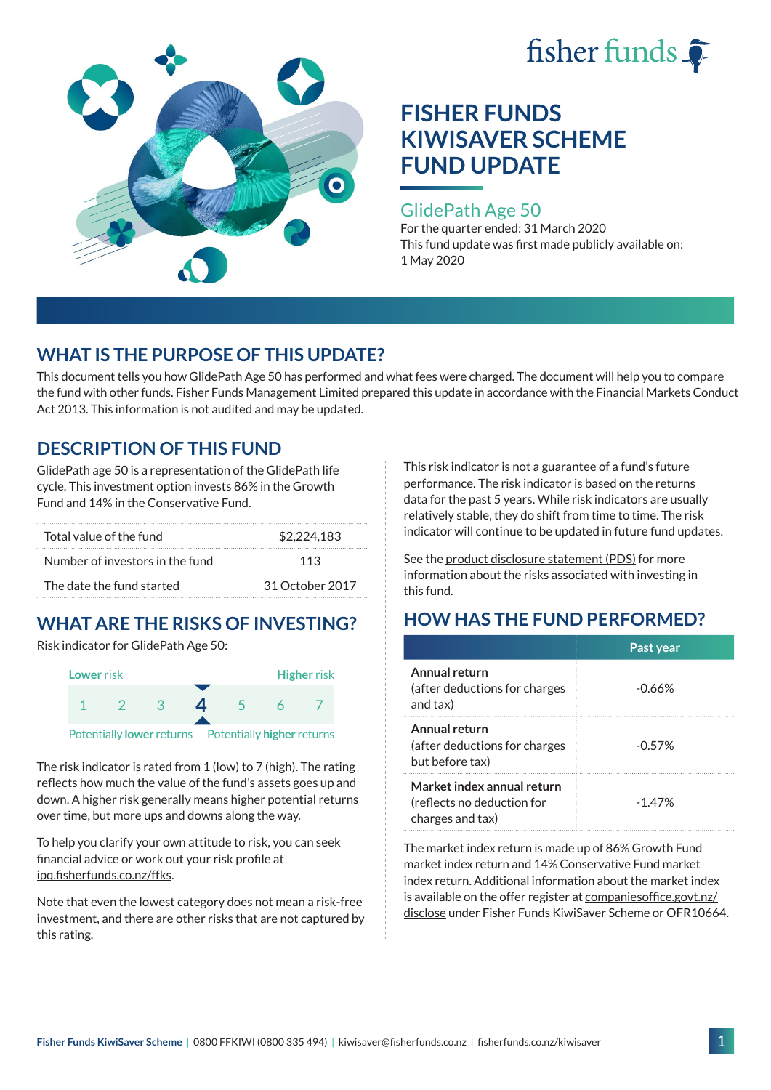



### GlidePath Age 50

For the quarter ended: 31 March 2020 This fund update was first made publicly available on: 1 May 2020

# **WHAT IS THE PURPOSE OF THIS UPDATE?**

This document tells you how GlidePath Age 50 has performed and what fees were charged. The document will help you to compare the fund with other funds. Fisher Funds Management Limited prepared this update in accordance with the Financial Markets Conduct Act 2013. This information is not audited and may be updated.

# **DESCRIPTION OF THIS FUND**

GlidePath age 50 is a representation of the GlidePath life cycle. This investment option invests 86% in the Growth Fund and 14% in the Conservative Fund.

| Total value of the fund         | \$2.224.183     |  |
|---------------------------------|-----------------|--|
| Number of investors in the fund | 113             |  |
| The date the fund started       | 31 October 2017 |  |

# **WHAT ARE THE RISKS OF INVESTING?**

Risk indicator for GlidePath Age 50:



The risk indicator is rated from 1 (low) to 7 (high). The rating reflects how much the value of the fund's assets goes up and down. A higher risk generally means higher potential returns over time, but more ups and downs along the way.

To help you clarify your own attitude to risk, you can seek financial advice or work out your risk profile at [ipq.fisherfunds.co.nz/ffks](https://ipq.fisherfunds.co.nz/ffks).

Note that even the lowest category does not mean a risk-free investment, and there are other risks that are not captured by this rating.

This risk indicator is not a guarantee of a fund's future performance. The risk indicator is based on the returns data for the past 5 years. While risk indicators are usually relatively stable, they do shift from time to time. The risk indicator will continue to be updated in future fund updates.

See the [product disclosure statement \(PDS\)](https://fisherfunds.co.nz/assets/PDS/Fisher-Funds-KiwiSaver-Scheme-PDS.pdf) for more information about the risks associated with investing in this fund.

# **HOW HAS THE FUND PERFORMED?**

|                                                                              | Past year |
|------------------------------------------------------------------------------|-----------|
| Annual return<br>(after deductions for charges<br>and tax)                   | $-0.66%$  |
| Annual return<br>(after deductions for charges<br>but before tax)            | $-0.57%$  |
| Market index annual return<br>(reflects no deduction for<br>charges and tax) | $-1.47%$  |

The market index return is made up of 86% Growth Fund market index return and 14% Conservative Fund market index return. Additional information about the market index is available on the offer register at [companiesoffice.govt.nz/](http://companiesoffice.govt.nz/disclose) [disclose](http://companiesoffice.govt.nz/disclose) under Fisher Funds KiwiSaver Scheme or OFR10664.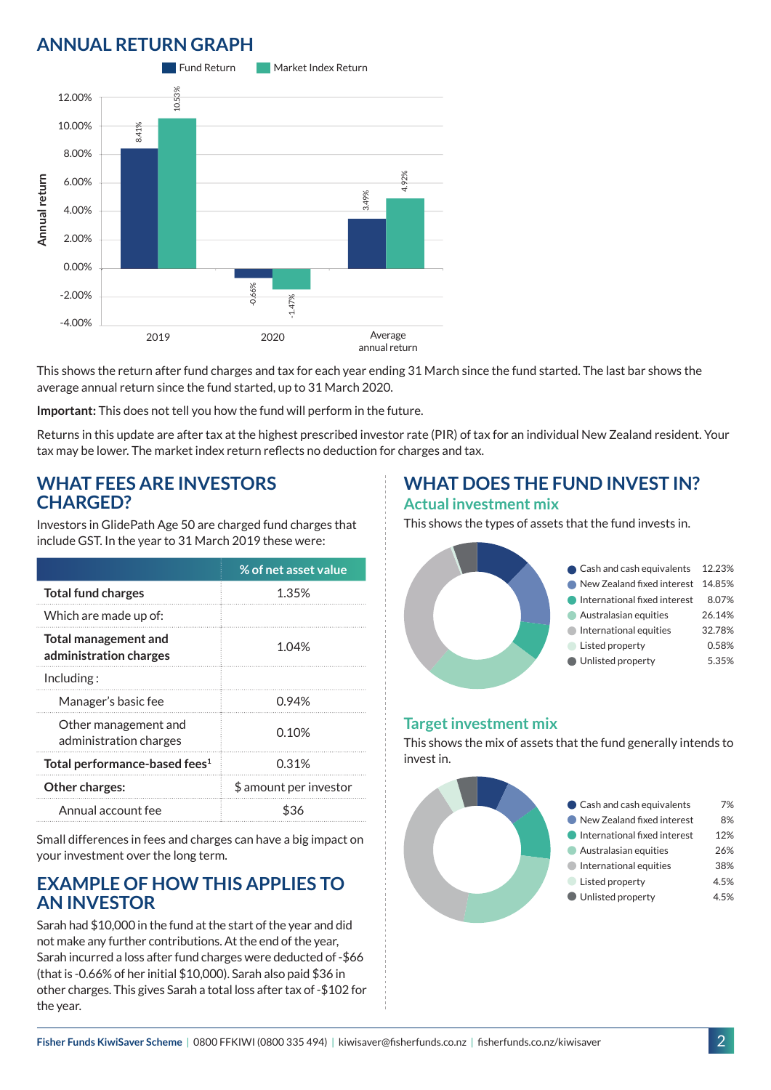# **ANNUAL RETURN GRAPH**



This shows the return after fund charges and tax for each year ending 31 March since the fund started. The last bar shows the average annual return since the fund started, up to 31 March 2020.

**Important:** This does not tell you how the fund will perform in the future.

Returns in this update are after tax at the highest prescribed investor rate (PIR) of tax for an individual New Zealand resident. Your tax may be lower. The market index return reflects no deduction for charges and tax.

#### **WHAT FEES ARE INVESTORS CHARGED?**

Investors in GlidePath Age 50 are charged fund charges that include GST. In the year to 31 March 2019 these were:

|                                                | % of net asset value   |
|------------------------------------------------|------------------------|
| <b>Total fund charges</b>                      | 1.35%                  |
| Which are made up of:                          |                        |
| Total management and<br>administration charges | 1.04%                  |
| Including:                                     |                        |
| Manager's basic fee                            | 0.94%                  |
| Other management and<br>administration charges | 0.10%                  |
| Total performance-based fees <sup>1</sup>      | 0.31%                  |
| Other charges:                                 | \$ amount per investor |
| Annual account fee                             | ፍ36                    |

Small differences in fees and charges can have a big impact on your investment over the long term.

### **EXAMPLE OF HOW THIS APPLIES TO AN INVESTOR**

Sarah had \$10,000 in the fund at the start of the year and did not make any further contributions. At the end of the year, Sarah incurred a loss after fund charges were deducted of -\$66 (that is -0.66% of her initial \$10,000). Sarah also paid \$36 in other charges. This gives Sarah a total loss after tax of -\$102 for the year.

### **WHAT DOES THE FUND INVEST IN? Actual investment mix**

This shows the types of assets that the fund invests in.



#### **Target investment mix**

This shows the mix of assets that the fund generally intends to invest in.